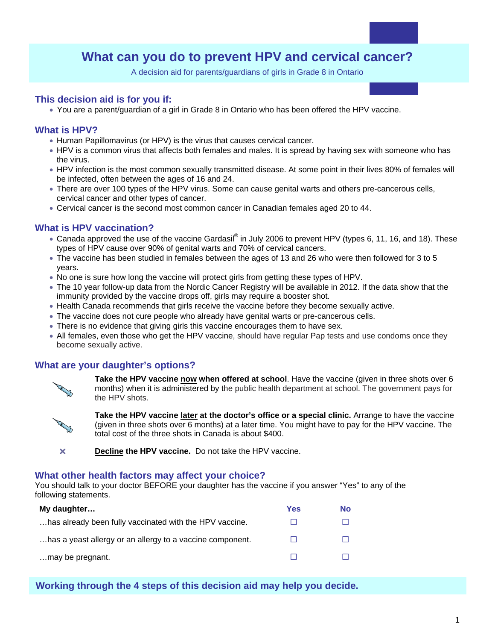# **What can you do to prevent HPV and cervical cancer?**

A decision aid for parents/guardians of girls in Grade 8 in Ontario

# **This decision aid is for you if:**

• You are a parent/guardian of a girl in Grade 8 in Ontario who has been offered the HPV vaccine.

# **What is HPV?**

- Human Papillomavirus (or HPV) is the virus that causes cervical cancer.
- HPV is a common virus that affects both females and males. It is spread by having sex with someone who has the virus.
- HPV infection is the most common sexually transmitted disease. At some point in their lives 80% of females will be infected, often between the ages of 16 and 24.
- There are over 100 types of the HPV virus. Some can cause genital warts and others pre-cancerous cells, cervical cancer and other types of cancer.
- Cervical cancer is the second most common cancer in Canadian females aged 20 to 44.

#### **What is HPV vaccination?**

- Canada approved the use of the vaccine Gardasil® in July 2006 to prevent HPV (types 6, 11, 16, and 18). These types of HPV cause over 90% of genital warts and 70% of cervical cancers.
- The vaccine has been studied in females between the ages of 13 and 26 who were then followed for 3 to 5 years.
- No one is sure how long the vaccine will protect girls from getting these types of HPV.
- The 10 year follow-up data from the Nordic Cancer Registry will be available in 2012. If the data show that the immunity provided by the vaccine drops off, girls may require a booster shot.
- Health Canada recommends that girls receive the vaccine before they become sexually active.
- The vaccine does not cure people who already have genital warts or pre-cancerous cells.
- There is no evidence that giving girls this vaccine encourages them to have sex.
- All females, even those who get the HPV vaccine, should have regular Pap tests and use condoms once they become sexually active.

#### **What are your daughter's options?**



**Take the HPV vaccine now when offered at school**. Have the vaccine (given in three shots over 6 months) when it is administered by the public health department at school. The government pays for the HPV shots.



**Take the HPV vaccine later at the doctor's office or a special clinic.** Arrange to have the vaccine (given in three shots over 6 months) at a later time. You might have to pay for the HPV vaccine. The total cost of the three shots in Canada is about \$400.

**X** Decline the HPV vaccine. Do not take the HPV vaccine.

#### **What other health factors may affect your choice?**

You should talk to your doctor BEFORE your daughter has the vaccine if you answer "Yes" to any of the following statements.

| My daughter                                               | Yes | <b>No</b> |
|-----------------------------------------------------------|-----|-----------|
| has already been fully vaccinated with the HPV vaccine.   |     |           |
| has a yeast allergy or an allergy to a vaccine component. |     |           |
| may be pregnant.                                          |     |           |

#### **Working through the 4 steps of this decision aid may help you decide.**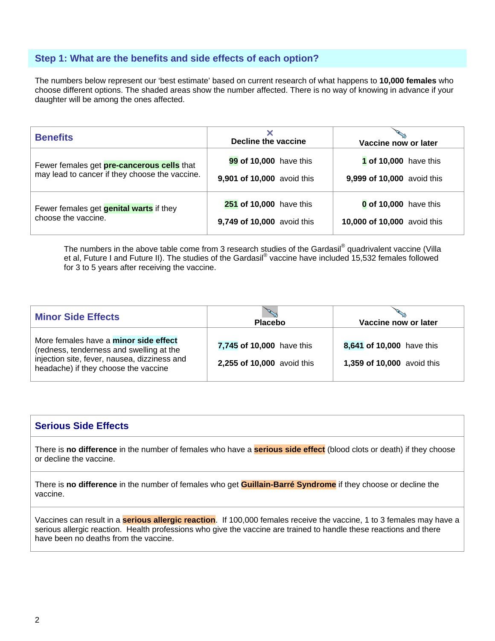# **Step 1: What are the benefits and side effects of each option?**

The numbers below represent our 'best estimate' based on current research of what happens to **10,000 females** who choose different options. The shaded areas show the number affected. There is no way of knowing in advance if your daughter will be among the ones affected.

| <b>Benefits</b>                                | Decline the vaccine        | Vaccine now or later         |  |  |
|------------------------------------------------|----------------------------|------------------------------|--|--|
| Fewer females get pre-cancerous cells that     | 99 of 10,000 have this     | <b>1 of 10,000</b> have this |  |  |
| may lead to cancer if they choose the vaccine. | 9,901 of 10,000 avoid this | 9,999 of 10,000 avoid this   |  |  |
| Fewer females get <b>genital warts</b> if they | 251 of 10,000 have this    | 0 of 10,000 have this        |  |  |
| choose the vaccine.                            | 9,749 of 10,000 avoid this | 10,000 of 10,000 avoid this  |  |  |

The numbers in the above table come from 3 research studies of the Gardasil® quadrivalent vaccine (Villa et al, Future I and Future II). The studies of the Gardasil® vaccine have included 15,532 females followed for 3 to 5 years after receiving the vaccine.

| <b>Minor Side Effects</b>                                                                                                                                                        | <b>Placebo</b>                                          | Vaccine now or later                                    |  |  |
|----------------------------------------------------------------------------------------------------------------------------------------------------------------------------------|---------------------------------------------------------|---------------------------------------------------------|--|--|
| More females have a <b>minor side effect</b><br>(redness, tenderness and swelling at the<br>injection site, fever, nausea, dizziness and<br>headache) if they choose the vaccine | 7,745 of 10,000 have this<br>2,255 of 10,000 avoid this | 8,641 of 10,000 have this<br>1,359 of 10,000 avoid this |  |  |

#### **Serious Side Effects**

There is **no difference** in the number of females who have a **serious side effect** (blood clots or death) if they choose or decline the vaccine.

There is **no difference** in the number of females who get **Guillain-Barré Syndrome** if they choose or decline the vaccine.

Vaccines can result in a **serious allergic reaction**. If 100,000 females receive the vaccine, 1 to 3 females may have a serious allergic reaction. Health professions who give the vaccine are trained to handle these reactions and there have been no deaths from the vaccine.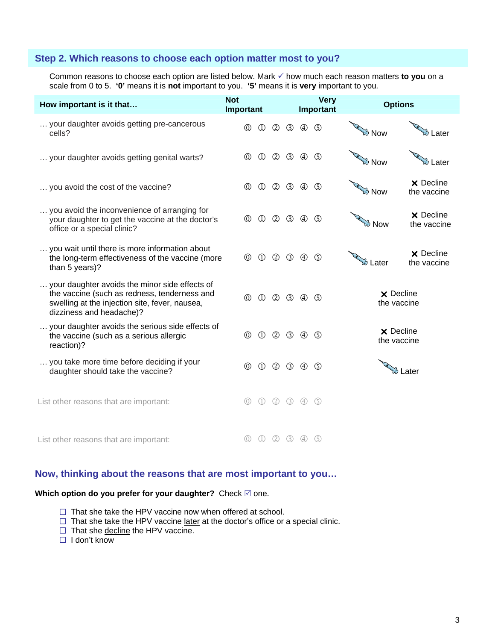### **Step 2. Which reasons to choose each option matter most to you?**

Common reasons to choose each option are listed below. Mark  $\checkmark$  how much each reason matters to you on a scale from 0 to 5. **'0'** means it is **not** important to you. **'5'** means it is **very** important to you*.*

| How important is it that                                                                                                                                                     | <b>Not</b><br><b>Very</b><br>Important<br>Important |                                | <b>Options</b> |                               |                |             |                                 |                                 |
|------------------------------------------------------------------------------------------------------------------------------------------------------------------------------|-----------------------------------------------------|--------------------------------|----------------|-------------------------------|----------------|-------------|---------------------------------|---------------------------------|
| your daughter avoids getting pre-cancerous<br>cells?                                                                                                                         | $^\circledR$                                        | $\circled{1}$                  |                | $\circledcirc$ $\circledcirc$ | $^{\circledR}$ | G)          | <b>B</b> Now                    | 汤 Later                         |
| your daughter avoids getting genital warts?                                                                                                                                  | $^\circledR$                                        | $\circled{1}$                  | $^{\circledR}$ | $\circledS$                   | $^{\circledR}$ | $\circledS$ | উ Now                           | ప Later                         |
| you avoid the cost of the vaccine?                                                                                                                                           | ⓪                                                   | $\circled{1}$                  | $^{\circledR}$ | <b>3</b> 4                    |                | $\circledS$ | <b>B</b> Now                    | <b>X</b> Decline<br>the vaccine |
| you avoid the inconvenience of arranging for<br>your daughter to get the vaccine at the doctor's<br>office or a special clinic?                                              | $^{\circledR}$                                      | $\circled{1}$                  | $^{\circledR}$ | $\circled{3}$                 | $^{\circledR}$ | $\circledS$ | উ Now                           | <b>X</b> Decline<br>the vaccine |
| you wait until there is more information about<br>the long-term effectiveness of the vaccine (more<br>than 5 years)?                                                         | $\circledcirc$                                      | $\mathbb{O}$                   | $^{\circledR}$ | $\circled{3}$                 | $^{\circledR}$ | G)          | <b>ØLater</b>                   | <b>X</b> Decline<br>the vaccine |
| your daughter avoids the minor side effects of<br>the vaccine (such as redness, tenderness and<br>swelling at the injection site, fever, nausea,<br>dizziness and headache)? | $^{\circledR}$                                      | $\mathbb{O}$                   |                | 2 3 4 5                       |                |             | <b>X</b> Decline<br>the vaccine |                                 |
| your daughter avoids the serious side effects of<br>the vaccine (such as a serious allergic<br>reaction)?                                                                    | $\circledcirc$                                      | $\circled{1}$                  |                | $(2)$ $(3)$                   | $\circled{4}$  | ග           | <b>X</b> Decline<br>the vaccine |                                 |
| you take more time before deciding if your<br>daughter should take the vaccine?                                                                                              | $^{\circledR}$                                      | $\mathbb O$                    | $^{\circledR}$ | <b>3</b> 4                    |                | G)          |                                 | to Later                        |
| List other reasons that are important:                                                                                                                                       | $\circledcirc$                                      | $\textcircled{\scriptsize{1}}$ | (2)            | $\circled{3}$                 | $\circled{4}$  | $\circ$     |                                 |                                 |
| List other reasons that are important:                                                                                                                                       | $\circledcirc$                                      |                                | (2)            | $\circled{3}$                 | (4)            | (5)         |                                 |                                 |

# **Now, thinking about the reasons that are most important to you…**

# Which option do you prefer for your daughter? Check  $\boxtimes$  one.

- $\Box$  That she take the HPV vaccine now when offered at school.
- $\Box$  That she take the HPV vaccine later at the doctor's office or a special clinic.
- □ That she decline the HPV vaccine.
- I don't know